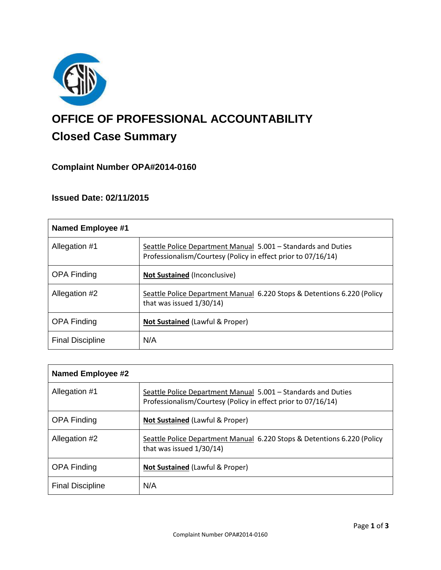

# **OFFICE OF PROFESSIONAL ACCOUNTABILITY Closed Case Summary**

# **Complaint Number OPA#2014-0160**

# **Issued Date: 02/11/2015**

| <b>Named Employee #1</b> |                                                                                                                                |
|--------------------------|--------------------------------------------------------------------------------------------------------------------------------|
| Allegation #1            | Seattle Police Department Manual 5.001 - Standards and Duties<br>Professionalism/Courtesy (Policy in effect prior to 07/16/14) |
| <b>OPA Finding</b>       | <b>Not Sustained (Inconclusive)</b>                                                                                            |
| Allegation #2            | Seattle Police Department Manual 6.220 Stops & Detentions 6.220 (Policy<br>that was issued 1/30/14)                            |
| <b>OPA Finding</b>       | <b>Not Sustained (Lawful &amp; Proper)</b>                                                                                     |
| <b>Final Discipline</b>  | N/A                                                                                                                            |

| Named Employee #2       |                                                                                                                                |
|-------------------------|--------------------------------------------------------------------------------------------------------------------------------|
| Allegation #1           | Seattle Police Department Manual 5.001 - Standards and Duties<br>Professionalism/Courtesy (Policy in effect prior to 07/16/14) |
| <b>OPA Finding</b>      | <b>Not Sustained (Lawful &amp; Proper)</b>                                                                                     |
| Allegation #2           | Seattle Police Department Manual 6.220 Stops & Detentions 6.220 (Policy<br>that was issued 1/30/14)                            |
| <b>OPA Finding</b>      | <b>Not Sustained (Lawful &amp; Proper)</b>                                                                                     |
| <b>Final Discipline</b> | N/A                                                                                                                            |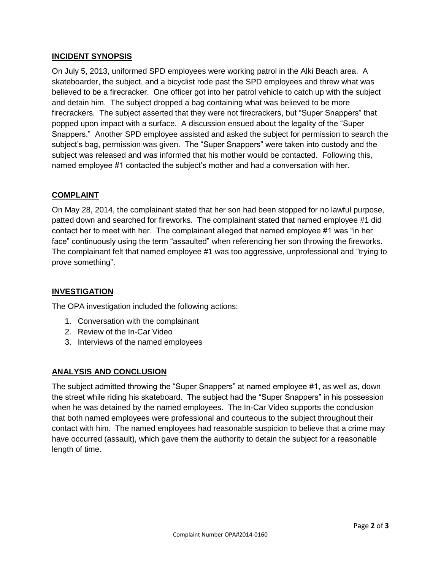## **INCIDENT SYNOPSIS**

On July 5, 2013, uniformed SPD employees were working patrol in the Alki Beach area. A skateboarder, the subject, and a bicyclist rode past the SPD employees and threw what was believed to be a firecracker. One officer got into her patrol vehicle to catch up with the subject and detain him. The subject dropped a bag containing what was believed to be more firecrackers. The subject asserted that they were not firecrackers, but "Super Snappers" that popped upon impact with a surface. A discussion ensued about the legality of the "Super Snappers." Another SPD employee assisted and asked the subject for permission to search the subject's bag, permission was given. The "Super Snappers" were taken into custody and the subject was released and was informed that his mother would be contacted. Following this, named employee #1 contacted the subject's mother and had a conversation with her.

## **COMPLAINT**

On May 28, 2014, the complainant stated that her son had been stopped for no lawful purpose, patted down and searched for fireworks. The complainant stated that named employee #1 did contact her to meet with her. The complainant alleged that named employee #1 was "in her face" continuously using the term "assaulted" when referencing her son throwing the fireworks. The complainant felt that named employee #1 was too aggressive, unprofessional and "trying to prove something".

#### **INVESTIGATION**

The OPA investigation included the following actions:

- 1. Conversation with the complainant
- 2. Review of the In-Car Video
- 3. Interviews of the named employees

#### **ANALYSIS AND CONCLUSION**

The subject admitted throwing the "Super Snappers" at named employee #1, as well as, down the street while riding his skateboard. The subject had the "Super Snappers" in his possession when he was detained by the named employees. The In-Car Video supports the conclusion that both named employees were professional and courteous to the subject throughout their contact with him. The named employees had reasonable suspicion to believe that a crime may have occurred (assault), which gave them the authority to detain the subject for a reasonable length of time.